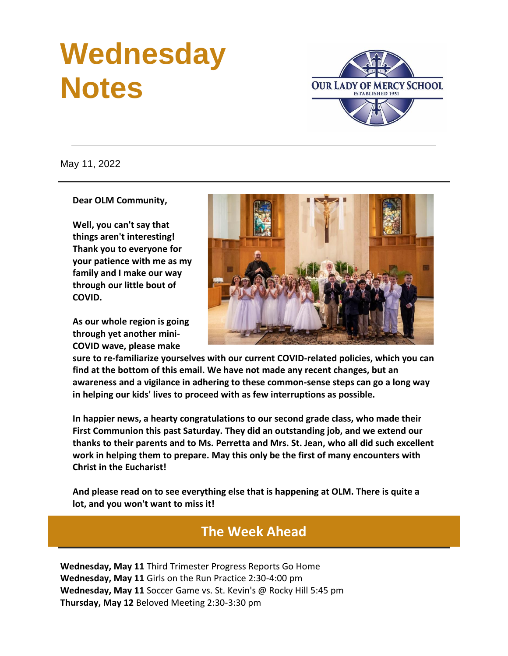## **Wednesday Notes**



May 11, 2022

**Dear OLM Community,**

**Well, you can't say that things aren't interesting! Thank you to everyone for your patience with me as my family and I make our way through our little bout of COVID.**

**As our whole region is going through yet another mini-COVID wave, please make** 



**sure to re-familiarize yourselves with our current COVID-related policies, which you can find at the bottom of this email. We have not made any recent changes, but an awareness and a vigilance in adhering to these common-sense steps can go a long way in helping our kids' lives to proceed with as few interruptions as possible.**

**In happier news, a hearty congratulations to our second grade class, who made their First Communion this past Saturday. They did an outstanding job, and we extend our thanks to their parents and to Ms. Perretta and Mrs. St. Jean, who all did such excellent work in helping them to prepare. May this only be the first of many encounters with Christ in the Eucharist!**

**And please read on to see everything else that is happening at OLM. There is quite a lot, and you won't want to miss it!**

#### **The Week Ahead**

**Wednesday, May 11** Third Trimester Progress Reports Go Home **Wednesday, May 11** Girls on the Run Practice 2:30-4:00 pm **Wednesday, May 11** Soccer Game vs. St. Kevin's @ Rocky Hill 5:45 pm **Thursday, May 12** Beloved Meeting 2:30-3:30 pm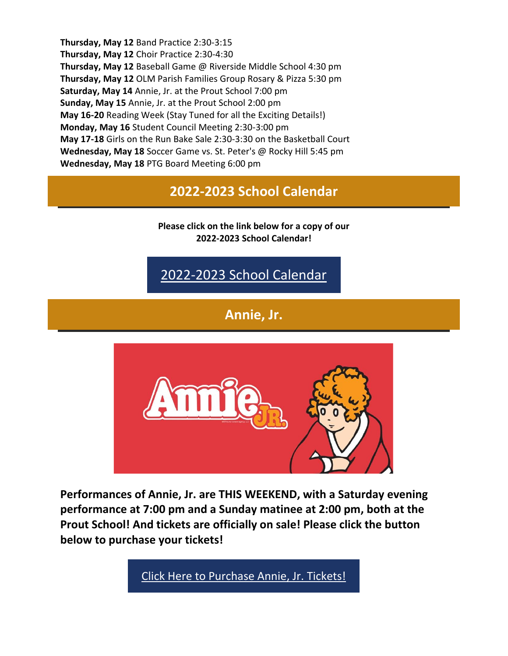**Thursday, May 12** Band Practice 2:30-3:15 **Thursday, May 12** Choir Practice 2:30-4:30 **Thursday, May 12** Baseball Game @ Riverside Middle School 4:30 pm **Thursday, May 12** OLM Parish Families Group Rosary & Pizza 5:30 pm **Saturday, May 14** Annie, Jr. at the Prout School 7:00 pm **Sunday, May 15** Annie, Jr. at the Prout School 2:00 pm **May 16-20** Reading Week (Stay Tuned for all the Exciting Details!) **Monday, May 16** Student Council Meeting 2:30-3:00 pm **May 17-18** Girls on the Run Bake Sale 2:30-3:30 on the Basketball Court **Wednesday, May 18** Soccer Game vs. St. Peter's @ Rocky Hill 5:45 pm **Wednesday, May 18** PTG Board Meeting 6:00 pm

**2022-2023 School Calendar**

**Please click on the link below for a copy of our 2022-2023 School Calendar!**

[2022-2023 School Calendar](https://r20.rs6.net/tn.jsp?f=001qkhPNHdohGh5xOt4fpX2J8qOtLYHvGZglJ8FZsziJIPl9KL7r1Rj6kIG1yTpo3v-mUgOBkzIVpBUXHG5L4uDNSS2Le8kmHM1CTBG_HR7lA7kRq8WWgHYvY3Hj0zUGxB1zgPBBk_5-hQuDuy0B2dPR7GYrH9iCU-iIiclmEUOm3rgAo0TYM3QGy3lf1oAjZmVGiCVpJ9bM-Y9-Sf3oVNZ3ReljFXqLK0z-f0meaVur2M=&c=&ch=)

**Annie, Jr.**



**Performances of Annie, Jr. are THIS WEEKEND, with a Saturday evening performance at 7:00 pm and a Sunday matinee at 2:00 pm, both at the Prout School! And tickets are officially on sale! Please click the button below to purchase your tickets!**

[Click Here to Purchase Annie, Jr. Tickets!](https://r20.rs6.net/tn.jsp?f=001qkhPNHdohGh5xOt4fpX2J8qOtLYHvGZglJ8FZsziJIPl9KL7r1Rj6sageekAElH5RbJsoOP5CpGDOAcapLHHADsXYSwrKWS8IM0G9rxSrS34xjSbHNFh7IBFiRsp6FT6QiZeVGkH2O2MLG1SrDTZKKILIMu0Lx9ylfeB2OhUBn1jJ42tPWuhdNI_B95_iYe2GZ0WkyZj0oMMZChIXgB5jcxCxkn2FIbqdAc1tSloXPXOvNQOLscAaq6_c85mucKqLSsydCa59ofAMyFYF2KoYrGM7VW7beOL-4J5gRg_4xBnO1So4DaUET6PgHRv8jlCJMDaYq31_HGTnBJ_iPUXJC3BrM2O2PUH&c=&ch=)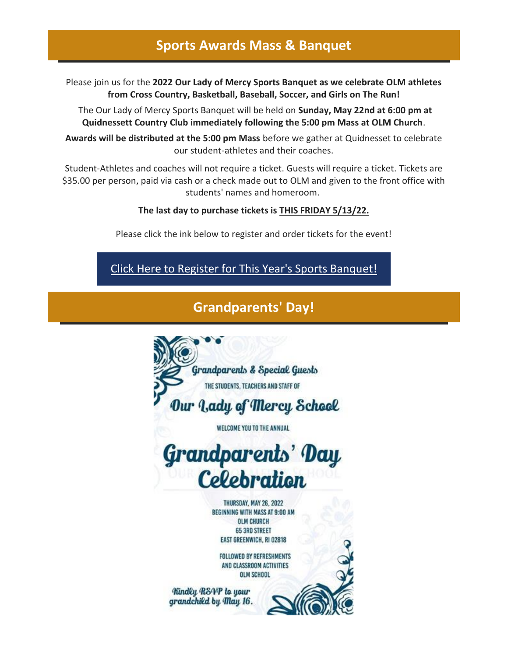#### **Sports Awards Mass & Banquet**

Please join us for the **2022 Our Lady of Mercy Sports Banquet as we celebrate OLM athletes from Cross Country, Basketball, Baseball, Soccer, and Girls on The Run!**

The Our Lady of Mercy Sports Banquet will be held on **Sunday, May 22nd at 6:00 pm at Quidnessett Country Club immediately following the 5:00 pm Mass at OLM Church**.

**Awards will be distributed at the 5:00 pm Mass** before we gather at Quidnesset to celebrate our student-athletes and their coaches.

Student-Athletes and coaches will not require a ticket. Guests will require a ticket. Tickets are \$35.00 per person, paid via cash or a check made out to OLM and given to the front office with students' names and homeroom.

#### **The last day to purchase tickets is THIS FRIDAY 5/13/22.**

Please click the ink below to register and order tickets for the event!

[Click Here to Register for This Year's Sports Banquet!](https://r20.rs6.net/tn.jsp?f=001qkhPNHdohGh5xOt4fpX2J8qOtLYHvGZglJ8FZsziJIPl9KL7r1Rj6pHqN77SGxV8asj8KM9OiCPP-GNsfIJAef_5jpARNkva1FRQS6Ep3KeO4ZNqHPDRgI_wOBWW-HbD6GpD-yeDO7gDC4K7V_ckdbmarA0fY47_VCJnANsebQfDrXO19FMaT6YbV3crFMIkQ29uuZZ4mtq7PrjrVzSN6t6Szv9CrKudc_cY9_-C4gPnC0zHbnGkQa2eUUpfvOYZ&c=&ch=)

#### **Grandparents' Day!**

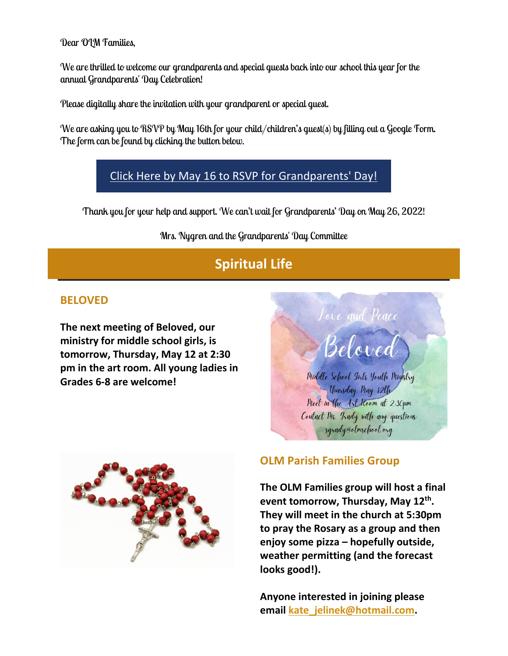Dear OLM Families,

We are thrilled to welcome our grandparents and special guests back into our school this year for the annual Grandparents' Day Celebration!

Please digitally share the invitation with your grandparent or special guest.

We are asking you to RSVP by May 16th for your child/children's guest(s) by filling out a Google Form. The form can be found by clicking the button below.

#### [Click Here by May 16 to RSVP for Grandparents' Day!](https://r20.rs6.net/tn.jsp?f=001qkhPNHdohGh5xOt4fpX2J8qOtLYHvGZglJ8FZsziJIPl9KL7r1Rj6jRac2Sbsk40YjH8RQ38DBIJWb5HjOaEbvgVF_5d_oWqvfel1imuRN0R5_yO5_PXezhaIPFsdGcAdjLrYYt_uLatn85ziQEo30sub0D7ecdy_rzaGEWXRoazooDOdh5B-buoyyU_m51GMqTmOThXk9cnnZrUZtuGfXtJbAKg6iG8P2zGHJ0LVReQyu_qr-go-9KibBXyqqsdPZLl0fxSOjEd585X4h0-xYPuOhYO_FIl3PVjlj_zCz8=&c=&ch=)

Thank you for your help and support. We can't wait for Grandparents' Day on May 26, 2022!

Mrs. Nygren and the Grandparents' Day Committee

## **Spiritual Life**

#### **BELOVED**

**The next meeting of Beloved, our ministry for middle school girls, is tomorrow, Thursday, May 12 at 2:30 pm in the art room. All young ladies in Grades 6-8 are welcome!**





#### **OLM Parish Families Group**

**The OLM Families group will host a final event tomorrow, Thursday, May 12th . They will meet in the church at 5:30pm to pray the Rosary as a group and then enjoy some pizza – hopefully outside, weather permitting (and the forecast looks good!).**

**Anyone interested in joining please email [kate\\_jelinek@hotmail.com.](mailto:kate_jelinek@hotmail.com)**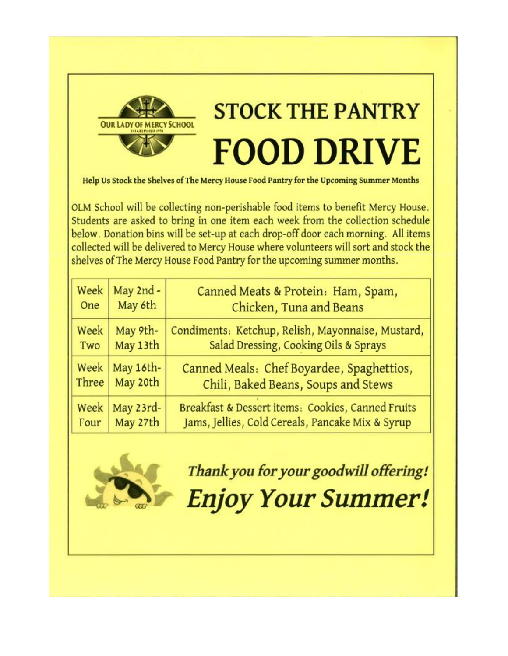

# **STOCK THE PANTRY FOOD DRIVE**

Help Us Stock the Shelves of The Mercy House Food Pantry for the Upcoming Summer Months

OLM School will be collecting non-perishable food items to benefit Mercy House. Students are asked to bring in one item each week from the collection schedule below. Donation bins will be set-up at each drop-off door each morning. All items collected will be delivered to Mercy House where volunteers will sort and stock the shelves of The Mercy House Food Pantry for the upcoming summer months.

| Week  | May 2nd - | Canned Meats & Protein: Ham, Spam,                |
|-------|-----------|---------------------------------------------------|
| One   | May 6th   | Chicken, Tuna and Beans                           |
| Week  | May 9th-  | Condiments: Ketchup, Relish, Mayonnaise, Mustard, |
| Two   | May 13th  | Salad Dressing, Cooking Oils & Sprays             |
| Week  | May 16th- | Canned Meals: Chef Boyardee, Spaghettios,         |
| Three | May 20th  | Chili, Baked Beans, Soups and Stews               |
| Week  | May 23rd- | Breakfast & Dessert items: Cookies, Canned Fruits |
| Four  | May 27th  | Jams, Jellies, Cold Cereals, Pancake Mix & Syrup  |



Thank you for your goodwill offering!

**Enjoy Your Summer!**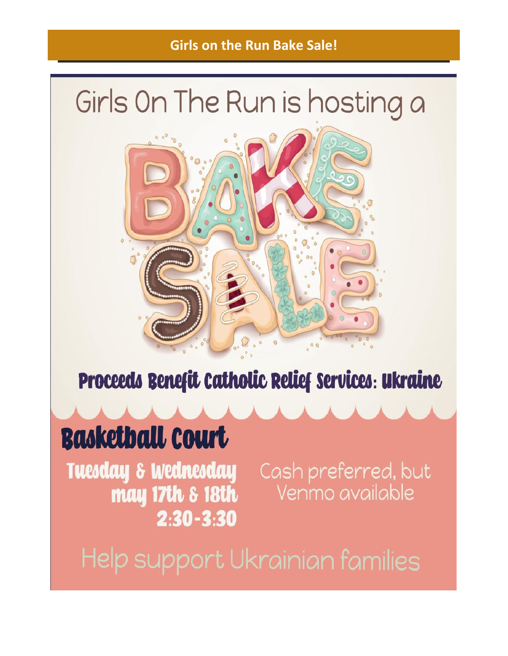### **Girls on the Run Bake Sale!**

## Girls On The Run is hosting a



Proceeds Benefit Catholic Relief Services: Ukraine

## **Basketball Court**

Tuesday & Wednesday Cash preferred, but may 17th & 18th  $2:30 - 3:30$ 

Venmo available

Help support Ukrainian families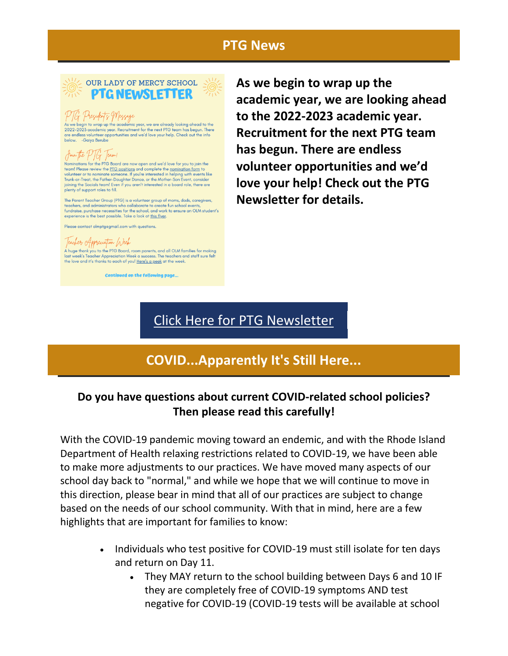#### **PTG News**



#### PTG Presidents Message

As we begin to wrap up the academic year, we are already looking ahead to the<br>2022-2023 academic year. Recruitment for the next PTG team has begun. There are endless volunteer opportunities and we'd love your help. Check out the info<br>below.  $\,$ –Gaiya Berube

#### Join the PTG Team!

Nominations for the PTG Board are now open and we'd love for you to join the team! Please review the <u>PTG positions</u> and complete the <u>nomination form</u> to<br>volunteer or to nominate someone. If you're interested in helping with events like<br>Trunk-or-Treat, the Father-Daughter Dance, or the Mother-Son joining the Socials team! Even if you aren't interested in a board role, there are plenty of support roles to fill.

The Parent Teacher Group (PTG) is a volunteer group of moms, dads, caregivers, teachers, and administrators who collaborate to create fun school events, fundraise, purchase necessities for the school, and work to ensure a experience is the best possible. Take a look at this flyer.

Please contact olmptgegmail.com with questions

#### Teacher Appreciation Week

A huge thank you to the PTG Board, room parents, and all OLM families for making<br>last week's Teacher Appreciation Week a success. The teachers and staff sure felt the love and it's thanks to each of you! Here's a peek at the week.

**Continued on the following page...** 

**As we begin to wrap up the academic year, we are looking ahead to the 2022-2023 academic year. Recruitment for the next PTG team has begun. There are endless volunteer opportunities and we'd love your help! Check out the PTG Newsletter for details.**

### [Click Here for PTG Newsletter](https://r20.rs6.net/tn.jsp?f=001qkhPNHdohGh5xOt4fpX2J8qOtLYHvGZglJ8FZsziJIPl9KL7r1Rj6pHqN77SGxV8wqnf9FcYddOeSQuFwGFiXKkbmtne1hbSITU5QVt9qw8jVsQgzZGP2nkgB2tJUnFgfjvIKBrMFtegJg24qS7QYgftujqB22XWpwMo42KOpUfQiXShjpnnHWXydRcKiUWIZTQRgtSVAMiVENEy4_NjzhJUVRQ7OPL6eh7-fbKv8ZQ=&c=&ch=)

## **COVID...Apparently It's Still Here...**

#### **Do you have questions about current COVID-related school policies? Then please read this carefully!**

With the COVID-19 pandemic moving toward an endemic, and with the Rhode Island Department of Health relaxing restrictions related to COVID-19, we have been able to make more adjustments to our practices. We have moved many aspects of our school day back to "normal," and while we hope that we will continue to move in this direction, please bear in mind that all of our practices are subject to change based on the needs of our school community. With that in mind, here are a few highlights that are important for families to know:

- Individuals who test positive for COVID-19 must still isolate for ten days and return on Day 11.
	- They MAY return to the school building between Days 6 and 10 IF they are completely free of COVID-19 symptoms AND test negative for COVID-19 (COVID-19 tests will be available at school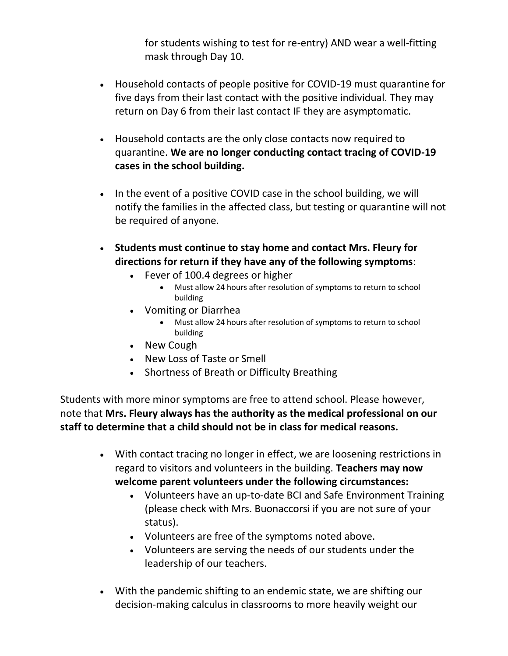for students wishing to test for re-entry) AND wear a well-fitting mask through Day 10.

- Household contacts of people positive for COVID-19 must quarantine for five days from their last contact with the positive individual. They may return on Day 6 from their last contact IF they are asymptomatic.
- Household contacts are the only close contacts now required to quarantine. **We are no longer conducting contact tracing of COVID-19 cases in the school building.**
- In the event of a positive COVID case in the school building, we will notify the families in the affected class, but testing or quarantine will not be required of anyone.
- **Students must continue to stay home and contact Mrs. Fleury for directions for return if they have any of the following symptoms**:
	- Fever of 100.4 degrees or higher
		- Must allow 24 hours after resolution of symptoms to return to school building
	- Vomiting or Diarrhea
		- Must allow 24 hours after resolution of symptoms to return to school building
	- New Cough
	- New Loss of Taste or Smell
	- Shortness of Breath or Difficulty Breathing

Students with more minor symptoms are free to attend school. Please however, note that **Mrs. Fleury always has the authority as the medical professional on our staff to determine that a child should not be in class for medical reasons.**

- With contact tracing no longer in effect, we are loosening restrictions in regard to visitors and volunteers in the building. **Teachers may now welcome parent volunteers under the following circumstances:**
	- Volunteers have an up-to-date BCI and Safe Environment Training (please check with Mrs. Buonaccorsi if you are not sure of your status).
	- Volunteers are free of the symptoms noted above.
	- Volunteers are serving the needs of our students under the leadership of our teachers.
- With the pandemic shifting to an endemic state, we are shifting our decision-making calculus in classrooms to more heavily weight our